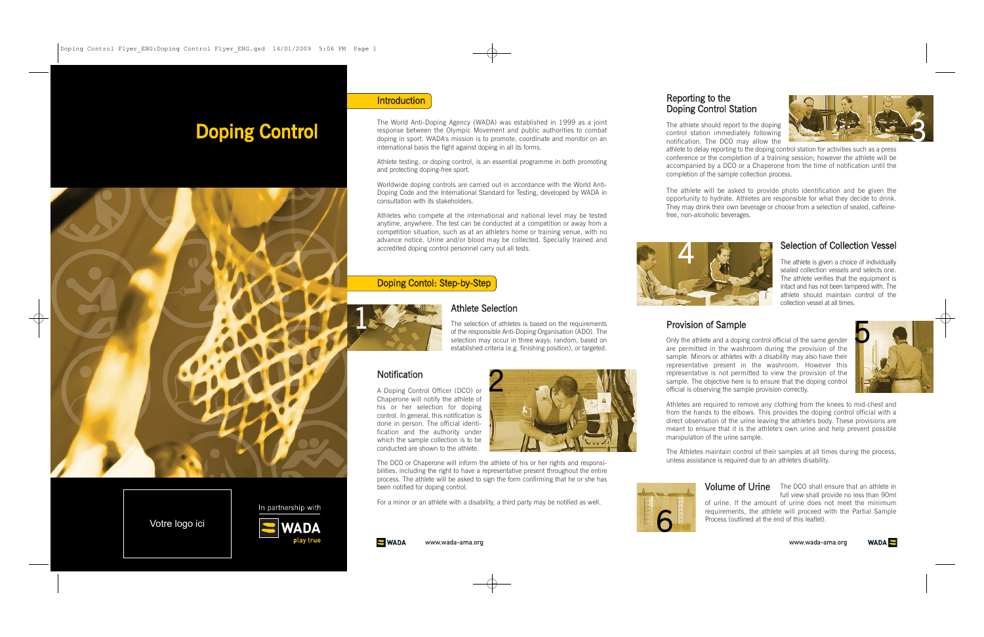full view shall provide no less than 90ml

**Volume of Urine** The DCO shall ensure that an athlete in of urine. If the amount of urine does not meet the minimum requirements, the athlete will proceed with the Partial Sample Process (outlined at the end of this leaflet).



The athlete is given a choice of individually sealed collection vessels and selects one. The athlete verifies that the equipment is intact and has not been tampered with. The athlete should maintain control of the collection vessel at all times.

# Selection of Collection Vessel

The athlete should report to the doping control station immediately following notification. The DCO may allow the

athlete to delay reporting to the doping control station for activities such as a press conference or the completion of a training session; however the athlete will be accompanied by a DCO or a Chaperone from the time of notification until the completion of the sample collection process.

The athlete will be asked to provide photo identification and be given the opportunity to hydrate. Athletes are responsible for what they decide to drink. They may drink their own beverage or choose from a selection of sealed, caffeinefree, non-alcoholic beverages.

# Reporting to the Doping Control Station

Only the athlete and a doping control official of the same gender are permitted in the washroom during the provision of the sample. Minors or athletes with a disability may also have their representative present in the washroom. However this representative is not permitted to view the provision of the sample. The objective here is to ensure that the doping control official is observing the sample provision correctly.

Athletes are required to remove any clothing from the knees to mid-chest and from the hands to the elbows. This provides the doping control official with a direct observation of the urine leaving the athlete's body. These provisions are meant to ensure that it is the athlete's own urine and help prevent possible manipulation of the urine sample.

**S** WADA www.wada-ama.org The Athletes maintain control of their samples at all times during the process, unless assistance is required due to an athlete's disability.

# Provision of Sample







www.wada-ama.org





A Doping Control Officer (DCO) or Chaperone will notify the athlete of his or her selection for doping control. In general, this notification is done in person. The official identification and the authority under which the sample collection is to be conducted are shown to the athlete.

The DCO or Chaperone will inform the athlete of his or her rights and responsibilities, including the right to have a representative present throughout the entire process. The athlete will be asked to sign the form confirming that he or she has been notified for doping control.

For a minor or an athlete with a disability, a third party may be notified as well.

The World Anti-Doping Agency (WADA) was established in 1999 as a joint response between the Olympic Movement and public authorities to combat doping in sport. WADA's mission is to promote, coordinate and monitor on an international basis the fight against doping in all its forms.

Athlete testing, or doping control, is an essential programme in both promoting and protecting doping-free sport.

Worldwide doping controls are carried out in accordance with the World Anti-Doping Code and the International Standard for Testing, developed by WADA in consultation with its stakeholders.

Athletes who compete at the international and national level may be tested anytime, anywhere. The test can be conducted at a competition or away from a competition situation, such as at an athlete's home or training venue, with no advance notice. Urine and/or blood may be collected. Specially trained and accredited doping control personnel carry out all tests.

### Doping Contol: Step-by-Step

The selection of athletes is based on the requirements of the responsible Anti-Doping Organisation (ADO). The selection may occur in three ways: random, based on established criteria (e.g. finishing position), or targeted.

#### **Notification**



2

# Doping Control



### **Introduction**